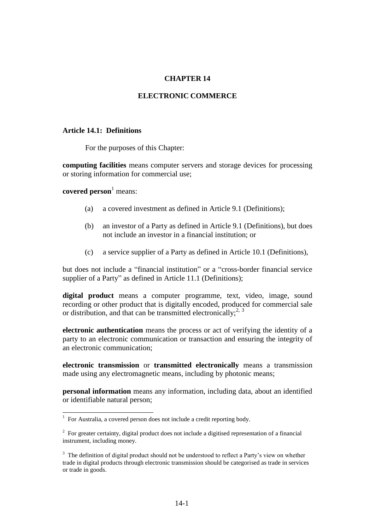### **CHAPTER 14**

#### **ELECTRONIC COMMERCE**

#### **Article 14.1: Definitions**

For the purposes of this Chapter:

**computing facilities** means computer servers and storage devices for processing or storing information for commercial use;

**covered person**<sup>1</sup> means:

- (a) a covered investment as defined in Article 9.1 (Definitions);
- (b) an investor of a Party as defined in Article 9.1 (Definitions), but does not include an investor in a financial institution; or
- (c) a service supplier of a Party as defined in Article 10.1 (Definitions),

but does not include a "financial institution" or a "cross-border financial service supplier of a Party" as defined in Article 11.1 (Definitions);

**digital product** means a computer programme, text, video, image, sound recording or other product that is digitally encoded, produced for commercial sale or distribution, and that can be transmitted electronically:<sup>2, 3</sup>

**electronic authentication** means the process or act of verifying the identity of a party to an electronic communication or transaction and ensuring the integrity of an electronic communication;

**electronic transmission** or **transmitted electronically** means a transmission made using any electromagnetic means, including by photonic means;

**personal information** means any information, including data, about an identified or identifiable natural person;

 1 For Australia, a covered person does not include a credit reporting body.

 $2^2$  For greater certainty, digital product does not include a digitised representation of a financial instrument, including money.

<sup>&</sup>lt;sup>3</sup> The definition of digital product should not be understood to reflect a Party's view on whether trade in digital products through electronic transmission should be categorised as trade in services or trade in goods.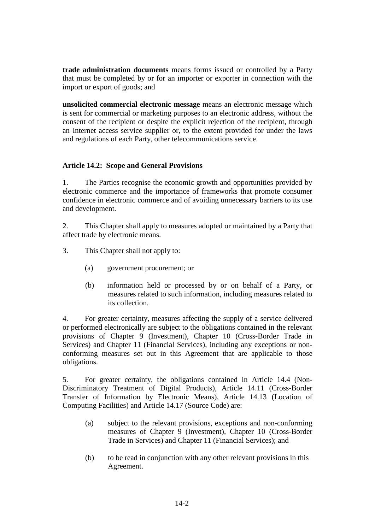**trade administration documents** means forms issued or controlled by a Party that must be completed by or for an importer or exporter in connection with the import or export of goods; and

**unsolicited commercial electronic message** means an electronic message which is sent for commercial or marketing purposes to an electronic address, without the consent of the recipient or despite the explicit rejection of the recipient, through an Internet access service supplier or, to the extent provided for under the laws and regulations of each Party, other telecommunications service.

# **Article 14.2: Scope and General Provisions**

1. The Parties recognise the economic growth and opportunities provided by electronic commerce and the importance of frameworks that promote consumer confidence in electronic commerce and of avoiding unnecessary barriers to its use and development.

2. This Chapter shall apply to measures adopted or maintained by a Party that affect trade by electronic means.

- 3. This Chapter shall not apply to:
	- (a) government procurement; or
	- (b) information held or processed by or on behalf of a Party, or measures related to such information, including measures related to its collection.

4. For greater certainty, measures affecting the supply of a service delivered or performed electronically are subject to the obligations contained in the relevant provisions of Chapter 9 (Investment), Chapter 10 (Cross-Border Trade in Services) and Chapter 11 (Financial Services), including any exceptions or nonconforming measures set out in this Agreement that are applicable to those obligations.

5. For greater certainty, the obligations contained in Article 14.4 (Non-Discriminatory Treatment of Digital Products), Article 14.11 (Cross-Border Transfer of Information by Electronic Means), Article 14.13 (Location of Computing Facilities) and Article 14.17 (Source Code) are:

- (a) subject to the relevant provisions, exceptions and non-conforming measures of Chapter 9 (Investment), Chapter 10 (Cross-Border Trade in Services) and Chapter 11 (Financial Services); and
- (b) to be read in conjunction with any other relevant provisions in this Agreement.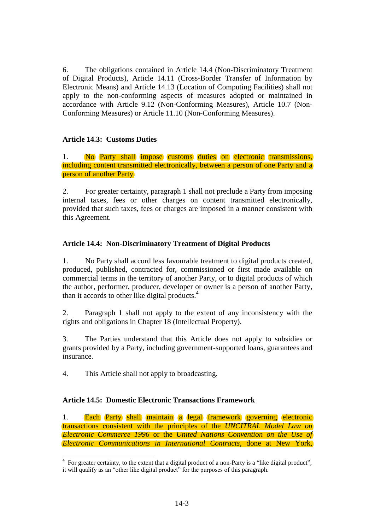6. The obligations contained in Article 14.4 (Non-Discriminatory Treatment of Digital Products), Article 14.11 (Cross-Border Transfer of Information by Electronic Means) and Article 14.13 (Location of Computing Facilities) shall not apply to the non-conforming aspects of measures adopted or maintained in accordance with Article 9.12 (Non-Conforming Measures), Article 10.7 (Non-Conforming Measures) or Article 11.10 (Non-Conforming Measures).

# **Article 14.3: Customs Duties**

1. No Party shall impose customs duties on electronic transmissions, including content transmitted electronically, between a person of one Party and a person of another Party.

2. For greater certainty, paragraph 1 shall not preclude a Party from imposing internal taxes, fees or other charges on content transmitted electronically, provided that such taxes, fees or charges are imposed in a manner consistent with this Agreement.

## **Article 14.4: Non-Discriminatory Treatment of Digital Products**

1. No Party shall accord less favourable treatment to digital products created, produced, published, contracted for, commissioned or first made available on commercial terms in the territory of another Party, or to digital products of which the author, performer, producer, developer or owner is a person of another Party, than it accords to other like digital products. 4

2. Paragraph 1 shall not apply to the extent of any inconsistency with the rights and obligations in Chapter 18 (Intellectual Property).

3. The Parties understand that this Article does not apply to subsidies or grants provided by a Party, including government-supported loans, guarantees and insurance.

4. This Article shall not apply to broadcasting.

#### **Article 14.5: Domestic Electronic Transactions Framework**

1. Each Party shall maintain a legal framework governing electronic transactions consistent with the principles of the *UNCITRAL Model Law on Electronic Commerce 1996* or the *United Nations Convention on the Use of Electronic Communications in International Contracts*, done at New York,

The sum of the set of the extent that a digital product of a non-Party is a "like digital product",  $\frac{4}{100}$  For greater certainty, to the extent that a digital product a non-Party is a "like digital product", it will qualify as an "other like digital product" for the purposes of this paragraph.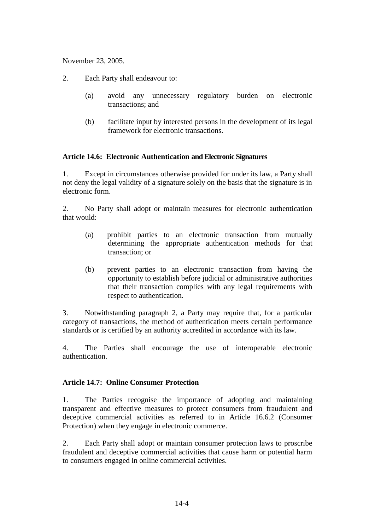November 23, 2005.

- 2. Each Party shall endeavour to:
	- (a) avoid any unnecessary regulatory burden on electronic transactions; and
	- (b) facilitate input by interested persons in the development of its legal framework for electronic transactions.

## **Article 14.6: Electronic Authentication and Electronic Signatures**

1. Except in circumstances otherwise provided for under its law, a Party shall not deny the legal validity of a signature solely on the basis that the signature is in electronic form.

2. No Party shall adopt or maintain measures for electronic authentication that would:

- (a) prohibit parties to an electronic transaction from mutually determining the appropriate authentication methods for that transaction; or
- (b) prevent parties to an electronic transaction from having the opportunity to establish before judicial or administrative authorities that their transaction complies with any legal requirements with respect to authentication.

3. Notwithstanding paragraph 2, a Party may require that, for a particular category of transactions, the method of authentication meets certain performance standards or is certified by an authority accredited in accordance with its law.

4. The Parties shall encourage the use of interoperable electronic authentication.

#### **Article 14.7: Online Consumer Protection**

1. The Parties recognise the importance of adopting and maintaining transparent and effective measures to protect consumers from fraudulent and deceptive commercial activities as referred to in Article 16.6.2 (Consumer Protection) when they engage in electronic commerce.

2. Each Party shall adopt or maintain consumer protection laws to proscribe fraudulent and deceptive commercial activities that cause harm or potential harm to consumers engaged in online commercial activities.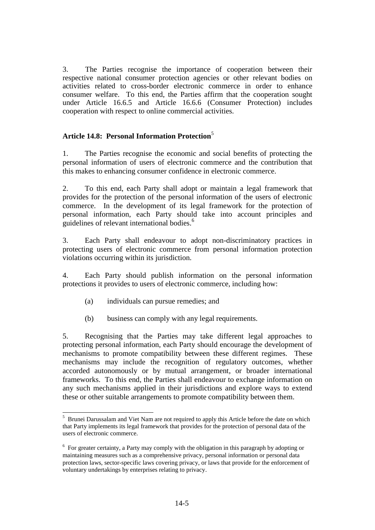3. The Parties recognise the importance of cooperation between their respective national consumer protection agencies or other relevant bodies on activities related to cross-border electronic commerce in order to enhance consumer welfare. To this end, the Parties affirm that the cooperation sought under Article 16.6.5 and Article 16.6.6 (Consumer Protection) includes cooperation with respect to online commercial activities.

## **Article 14.8: Personal Information Protection**<sup>5</sup>

1. The Parties recognise the economic and social benefits of protecting the personal information of users of electronic commerce and the contribution that this makes to enhancing consumer confidence in electronic commerce.

2. To this end, each Party shall adopt or maintain a legal framework that provides for the protection of the personal information of the users of electronic commerce. In the development of its legal framework for the protection of personal information, each Party should take into account principles and guidelines of relevant international bodies.<sup>6</sup>

3. Each Party shall endeavour to adopt non-discriminatory practices in protecting users of electronic commerce from personal information protection violations occurring within its jurisdiction.

4. Each Party should publish information on the personal information protections it provides to users of electronic commerce, including how:

- (a) individuals can pursue remedies; and
- (b) business can comply with any legal requirements.

5. Recognising that the Parties may take different legal approaches to protecting personal information, each Party should encourage the development of mechanisms to promote compatibility between these different regimes. These mechanisms may include the recognition of regulatory outcomes, whether accorded autonomously or by mutual arrangement, or broader international frameworks. To this end, the Parties shall endeavour to exchange information on any such mechanisms applied in their jurisdictions and explore ways to extend these or other suitable arrangements to promote compatibility between them.

<sup>&</sup>lt;sup>5</sup> Brunei Darussalam and Viet Nam are not required to apply this Article before the date on which that Party implements its legal framework that provides for the protection of personal data of the users of electronic commerce.

<sup>&</sup>lt;sup>6</sup> For greater certainty, a Party may comply with the obligation in this paragraph by adopting or maintaining measures such as a comprehensive privacy, personal information or personal data protection laws, sector-specific laws covering privacy, or laws that provide for the enforcement of voluntary undertakings by enterprises relating to privacy.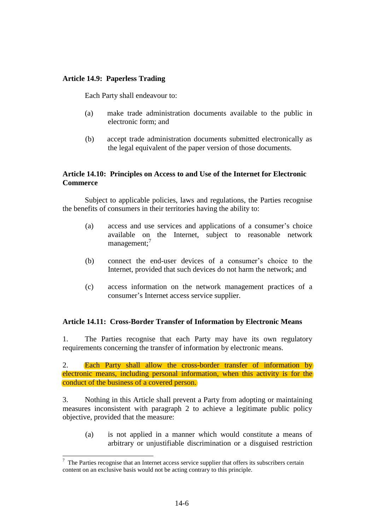## **Article 14.9: Paperless Trading**

Each Party shall endeavour to:

- (a) make trade administration documents available to the public in electronic form; and
- (b) accept trade administration documents submitted electronically as the legal equivalent of the paper version of those documents.

## **Article 14.10: Principles on Access to and Use of the Internet for Electronic Commerce**

 Subject to applicable policies, laws and regulations, the Parties recognise the benefits of consumers in their territories having the ability to:

- (a) access and use services and applications of a consumer's choice available on the Internet, subject to reasonable network management;<sup>7</sup>
- (b) connect the end-user devices of a consumer's choice to the Internet, provided that such devices do not harm the network; and
- (c) access information on the network management practices of a consumer's Internet access service supplier.

#### **Article 14.11: Cross-Border Transfer of Information by Electronic Means**

1. The Parties recognise that each Party may have its own regulatory requirements concerning the transfer of information by electronic means.

2. Each Party shall allow the cross-border transfer of information by electronic means, including personal information, when this activity is for the conduct of the business of a covered person.

3. Nothing in this Article shall prevent a Party from adopting or maintaining measures inconsistent with paragraph 2 to achieve a legitimate public policy objective, provided that the measure:

(a) is not applied in a manner which would constitute a means of arbitrary or unjustifiable discrimination or a disguised restriction

-

 $7$  The Parties recognise that an Internet access service supplier that offers its subscribers certain content on an exclusive basis would not be acting contrary to this principle.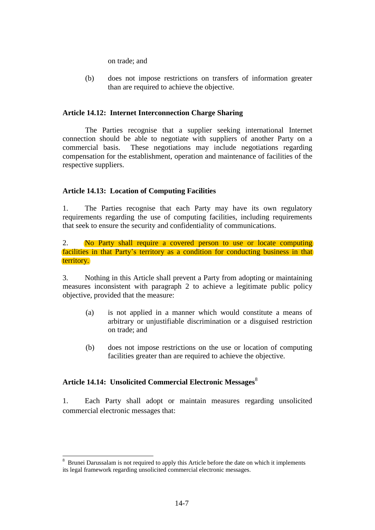on trade; and

(b) does not impose restrictions on transfers of information greater than are required to achieve the objective.

## **Article 14.12: Internet Interconnection Charge Sharing**

The Parties recognise that a supplier seeking international Internet connection should be able to negotiate with suppliers of another Party on a commercial basis. These negotiations may include negotiations regarding compensation for the establishment, operation and maintenance of facilities of the respective suppliers.

## **Article 14.13: Location of Computing Facilities**

1. The Parties recognise that each Party may have its own regulatory requirements regarding the use of computing facilities, including requirements that seek to ensure the security and confidentiality of communications.

#### 2. No Party shall require a covered person to use or locate computing facilities in that Party's territory as a condition for conducting business in that territory.

3. Nothing in this Article shall prevent a Party from adopting or maintaining measures inconsistent with paragraph 2 to achieve a legitimate public policy objective, provided that the measure:

- (a) is not applied in a manner which would constitute a means of arbitrary or unjustifiable discrimination or a disguised restriction on trade; and
- (b) does not impose restrictions on the use or location of computing facilities greater than are required to achieve the objective.

#### Article 14.14: Unsolicited Commercial Electronic Messages<sup>8</sup>

-

1. Each Party shall adopt or maintain measures regarding unsolicited commercial electronic messages that:

<sup>8</sup> Brunei Darussalam is not required to apply this Article before the date on which it implements its legal framework regarding unsolicited commercial electronic messages.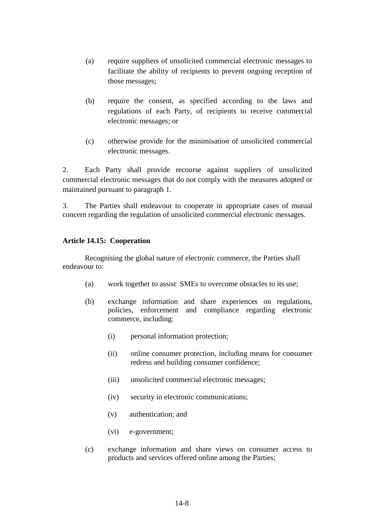- (a) require suppliers of unsolicited commercial electronic messages to facilitate the ability of recipients to prevent ongoing reception of those messages;
- (b) require the consent, as specified according to the laws and regulations of each Party, of recipients to receive commercial electronic messages; or
- (c) otherwise provide for the minimisation of unsolicited commercial electronic messages.

2. Each Party shall provide recourse against suppliers of unsolicited commercial electronic messages that do not comply with the measures adopted or maintained pursuant to paragraph 1.

3. The Parties shall endeavour to cooperate in appropriate cases of mutual concern regarding the regulation of unsolicited commercial electronic messages.

# **Article 14.15: Cooperation**

Recognising the global nature of electronic commerce, the Parties shall endeavour to:

- (a) work together to assist SMEs to overcome obstacles to its use;
- (b) exchange information and share experiences on regulations, policies, enforcement and compliance regarding electronic commerce, including:
	- (i) personal information protection;
	- (ii) online consumer protection, including means for consumer redress and building consumer confidence;
	- (iii) unsolicited commercial electronic messages;
	- (iv) security in electronic communications;
	- (v) authentication; and
	- (vi) e-government;
- (c) exchange information and share views on consumer access to products and services offered online among the Parties;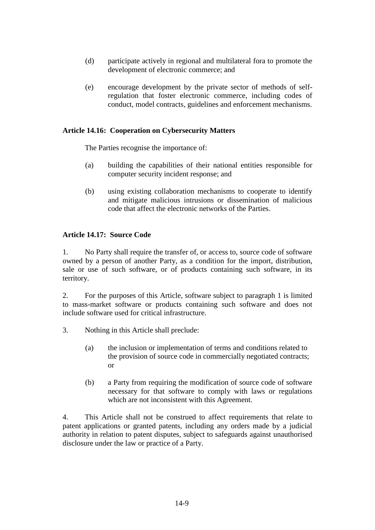- (d) participate actively in regional and multilateral fora to promote the development of electronic commerce; and
- (e) encourage development by the private sector of methods of selfregulation that foster electronic commerce, including codes of conduct, model contracts, guidelines and enforcement mechanisms.

## **Article 14.16: Cooperation on Cybersecurity Matters**

The Parties recognise the importance of:

- (a) building the capabilities of their national entities responsible for computer security incident response; and
- (b) using existing collaboration mechanisms to cooperate to identify and mitigate malicious intrusions or dissemination of malicious code that affect the electronic networks of the Parties.

#### **Article 14.17: Source Code**

1. No Party shall require the transfer of, or access to, source code of software owned by a person of another Party, as a condition for the import, distribution, sale or use of such software, or of products containing such software, in its territory.

2. For the purposes of this Article, software subject to paragraph 1 is limited to mass-market software or products containing such software and does not include software used for critical infrastructure.

- 3. Nothing in this Article shall preclude:
	- (a) the inclusion or implementation of terms and conditions related to the provision of source code in commercially negotiated contracts; or
	- (b) a Party from requiring the modification of source code of software necessary for that software to comply with laws or regulations which are not inconsistent with this Agreement.

4. This Article shall not be construed to affect requirements that relate to patent applications or granted patents, including any orders made by a judicial authority in relation to patent disputes, subject to safeguards against unauthorised disclosure under the law or practice of a Party.